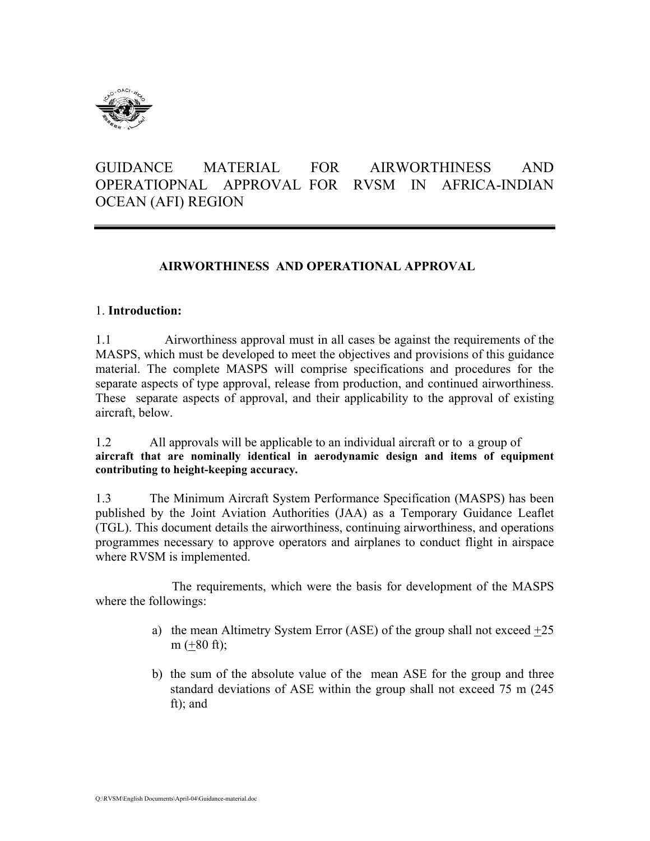

# GUIDANCE MATERIAL FOR AIRWORTHINESS AND OPERATIOPNAL APPROVAL FOR RVSM IN AFRICA-INDIAN OCEAN (AFI) REGION

## **AIRWORTHINESS AND OPERATIONAL APPROVAL**

#### 1. **Introduction:**

1.1 Airworthiness approval must in all cases be against the requirements of the MASPS, which must be developed to meet the objectives and provisions of this guidance material. The complete MASPS will comprise specifications and procedures for the separate aspects of type approval, release from production, and continued airworthiness. These separate aspects of approval, and their applicability to the approval of existing aircraft, below.

1.2 All approvals will be applicable to an individual aircraft or to a group of **aircraft that are nominally identical in aerodynamic design and items of equipment contributing to height-keeping accuracy.** 

1.3 The Minimum Aircraft System Performance Specification (MASPS) has been published by the Joint Aviation Authorities (JAA) as a Temporary Guidance Leaflet (TGL). This document details the airworthiness, continuing airworthiness, and operations programmes necessary to approve operators and airplanes to conduct flight in airspace where RVSM is implemented.

The requirements, which were the basis for development of the MASPS where the followings:

- a) the mean Altimetry System Error (ASE) of the group shall not exceed  $\pm 25$ m  $(\pm 80 \text{ ft})$ ;
- b) the sum of the absolute value of the mean ASE for the group and three standard deviations of ASE within the group shall not exceed 75 m (245 ft); and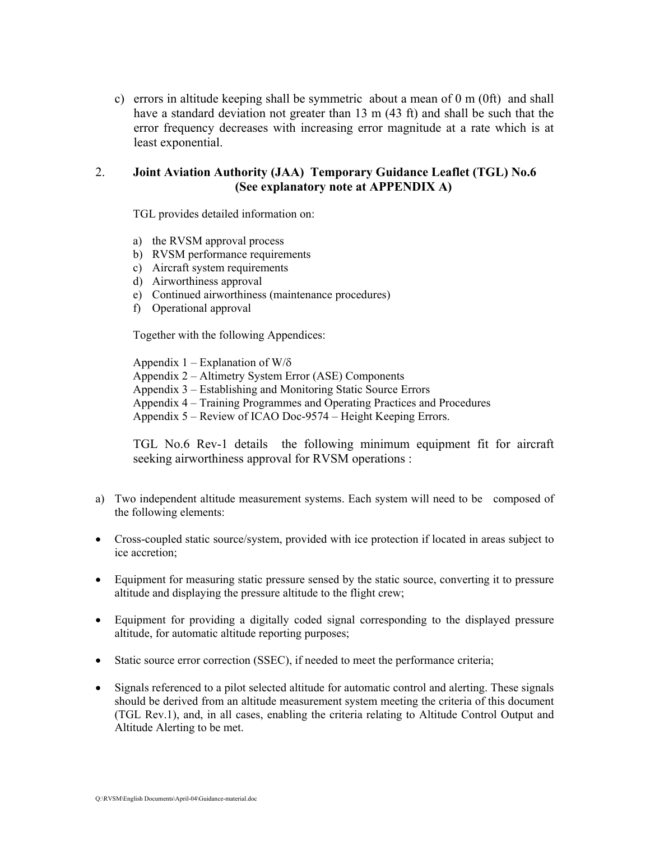c) errors in altitude keeping shall be symmetric about a mean of 0 m (0ft) and shall have a standard deviation not greater than 13 m (43 ft) and shall be such that the error frequency decreases with increasing error magnitude at a rate which is at least exponential.

### 2. **Joint Aviation Authority (JAA) Temporary Guidance Leaflet (TGL) No.6 (See explanatory note at APPENDIX A)**

TGL provides detailed information on:

- a) the RVSM approval process
- b) RVSM performance requirements
- c) Aircraft system requirements
- d) Airworthiness approval
- e) Continued airworthiness (maintenance procedures)
- f) Operational approval

Together with the following Appendices:

Appendix  $1 -$  Explanation of W/ $\delta$ Appendix 2 – Altimetry System Error (ASE) Components Appendix 3 – Establishing and Monitoring Static Source Errors Appendix 4 – Training Programmes and Operating Practices and Procedures Appendix 5 – Review of ICAO Doc-9574 – Height Keeping Errors.

TGL No.6 Rev-1 details the following minimum equipment fit for aircraft seeking airworthiness approval for RVSM operations :

- a) Two independent altitude measurement systems. Each system will need to be composed of the following elements:
- Cross-coupled static source/system, provided with ice protection if located in areas subject to ice accretion;
- Equipment for measuring static pressure sensed by the static source, converting it to pressure altitude and displaying the pressure altitude to the flight crew;
- Equipment for providing a digitally coded signal corresponding to the displayed pressure altitude, for automatic altitude reporting purposes;
- Static source error correction (SSEC), if needed to meet the performance criteria;
- Signals referenced to a pilot selected altitude for automatic control and alerting. These signals should be derived from an altitude measurement system meeting the criteria of this document (TGL Rev.1), and, in all cases, enabling the criteria relating to Altitude Control Output and Altitude Alerting to be met.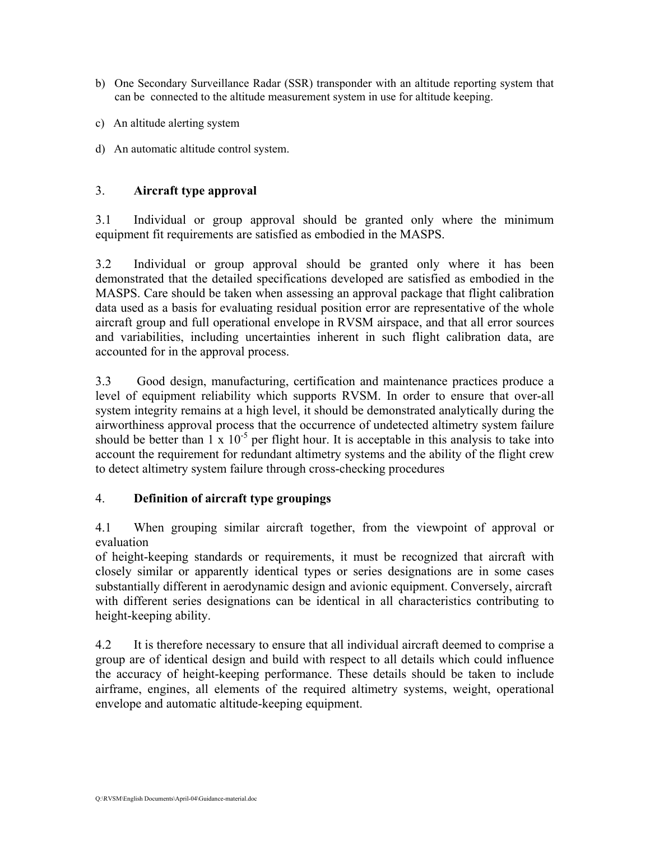- b) One Secondary Surveillance Radar (SSR) transponder with an altitude reporting system that can be connected to the altitude measurement system in use for altitude keeping.
- c) An altitude alerting system
- d) An automatic altitude control system.

### 3. **Aircraft type approval**

3.1 Individual or group approval should be granted only where the minimum equipment fit requirements are satisfied as embodied in the MASPS.

3.2 Individual or group approval should be granted only where it has been demonstrated that the detailed specifications developed are satisfied as embodied in the MASPS. Care should be taken when assessing an approval package that flight calibration data used as a basis for evaluating residual position error are representative of the whole aircraft group and full operational envelope in RVSM airspace, and that all error sources and variabilities, including uncertainties inherent in such flight calibration data, are accounted for in the approval process.

3.3 Good design, manufacturing, certification and maintenance practices produce a level of equipment reliability which supports RVSM. In order to ensure that over-all system integrity remains at a high level, it should be demonstrated analytically during the airworthiness approval process that the occurrence of undetected altimetry system failure should be better than  $1 \times 10^{-5}$  per flight hour. It is acceptable in this analysis to take into account the requirement for redundant altimetry systems and the ability of the flight crew to detect altimetry system failure through cross-checking procedures

## 4. **Definition of aircraft type groupings**

4.1 When grouping similar aircraft together, from the viewpoint of approval or evaluation

of height-keeping standards or requirements, it must be recognized that aircraft with closely similar or apparently identical types or series designations are in some cases substantially different in aerodynamic design and avionic equipment. Conversely, aircraft with different series designations can be identical in all characteristics contributing to height-keeping ability.

4.2 It is therefore necessary to ensure that all individual aircraft deemed to comprise a group are of identical design and build with respect to all details which could influence the accuracy of height-keeping performance. These details should be taken to include airframe, engines, all elements of the required altimetry systems, weight, operational envelope and automatic altitude-keeping equipment.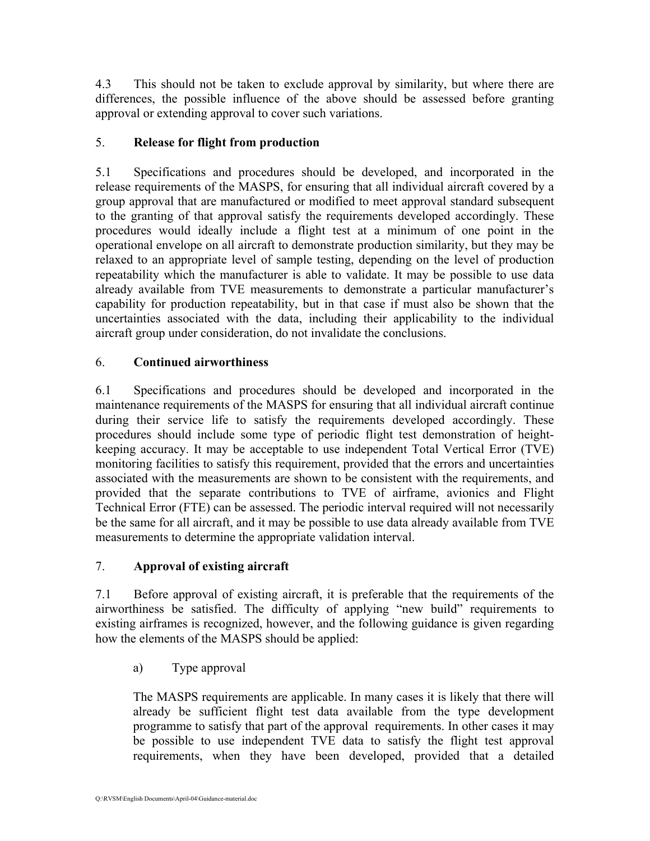4.3 This should not be taken to exclude approval by similarity, but where there are differences, the possible influence of the above should be assessed before granting approval or extending approval to cover such variations.

## 5. **Release for flight from production**

5.1 Specifications and procedures should be developed, and incorporated in the release requirements of the MASPS, for ensuring that all individual aircraft covered by a group approval that are manufactured or modified to meet approval standard subsequent to the granting of that approval satisfy the requirements developed accordingly. These procedures would ideally include a flight test at a minimum of one point in the operational envelope on all aircraft to demonstrate production similarity, but they may be relaxed to an appropriate level of sample testing, depending on the level of production repeatability which the manufacturer is able to validate. It may be possible to use data already available from TVE measurements to demonstrate a particular manufacturer's capability for production repeatability, but in that case if must also be shown that the uncertainties associated with the data, including their applicability to the individual aircraft group under consideration, do not invalidate the conclusions.

## 6. **Continued airworthiness**

6.1 Specifications and procedures should be developed and incorporated in the maintenance requirements of the MASPS for ensuring that all individual aircraft continue during their service life to satisfy the requirements developed accordingly. These procedures should include some type of periodic flight test demonstration of heightkeeping accuracy. It may be acceptable to use independent Total Vertical Error (TVE) monitoring facilities to satisfy this requirement, provided that the errors and uncertainties associated with the measurements are shown to be consistent with the requirements, and provided that the separate contributions to TVE of airframe, avionics and Flight Technical Error (FTE) can be assessed. The periodic interval required will not necessarily be the same for all aircraft, and it may be possible to use data already available from TVE measurements to determine the appropriate validation interval.

## 7. **Approval of existing aircraft**

7.1 Before approval of existing aircraft, it is preferable that the requirements of the airworthiness be satisfied. The difficulty of applying "new build" requirements to existing airframes is recognized, however, and the following guidance is given regarding how the elements of the MASPS should be applied:

a) Type approval

The MASPS requirements are applicable. In many cases it is likely that there will already be sufficient flight test data available from the type development programme to satisfy that part of the approval requirements. In other cases it may be possible to use independent TVE data to satisfy the flight test approval requirements, when they have been developed, provided that a detailed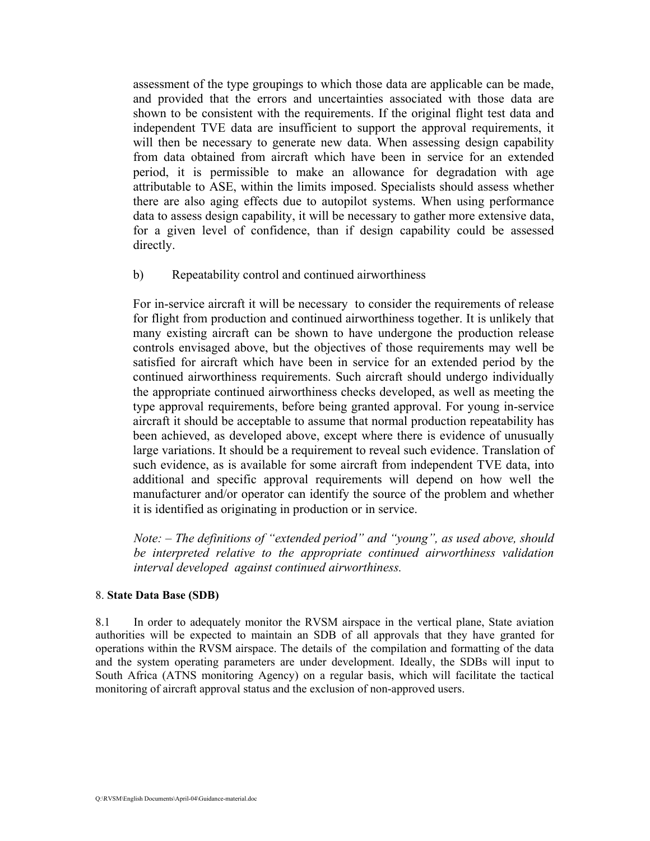assessment of the type groupings to which those data are applicable can be made, and provided that the errors and uncertainties associated with those data are shown to be consistent with the requirements. If the original flight test data and independent TVE data are insufficient to support the approval requirements, it will then be necessary to generate new data. When assessing design capability from data obtained from aircraft which have been in service for an extended period, it is permissible to make an allowance for degradation with age attributable to ASE, within the limits imposed. Specialists should assess whether there are also aging effects due to autopilot systems. When using performance data to assess design capability, it will be necessary to gather more extensive data, for a given level of confidence, than if design capability could be assessed directly.

b) Repeatability control and continued airworthiness

For in-service aircraft it will be necessary to consider the requirements of release for flight from production and continued airworthiness together. It is unlikely that many existing aircraft can be shown to have undergone the production release controls envisaged above, but the objectives of those requirements may well be satisfied for aircraft which have been in service for an extended period by the continued airworthiness requirements. Such aircraft should undergo individually the appropriate continued airworthiness checks developed, as well as meeting the type approval requirements, before being granted approval. For young in-service aircraft it should be acceptable to assume that normal production repeatability has been achieved, as developed above, except where there is evidence of unusually large variations. It should be a requirement to reveal such evidence. Translation of such evidence, as is available for some aircraft from independent TVE data, into additional and specific approval requirements will depend on how well the manufacturer and/or operator can identify the source of the problem and whether it is identified as originating in production or in service.

*Note: – The definitions of "extended period" and "young", as used above, should be interpreted relative to the appropriate continued airworthiness validation interval developed against continued airworthiness.*

#### 8. **State Data Base (SDB)**

8.1 In order to adequately monitor the RVSM airspace in the vertical plane, State aviation authorities will be expected to maintain an SDB of all approvals that they have granted for operations within the RVSM airspace. The details of the compilation and formatting of the data and the system operating parameters are under development. Ideally, the SDBs will input to South Africa (ATNS monitoring Agency) on a regular basis, which will facilitate the tactical monitoring of aircraft approval status and the exclusion of non-approved users.